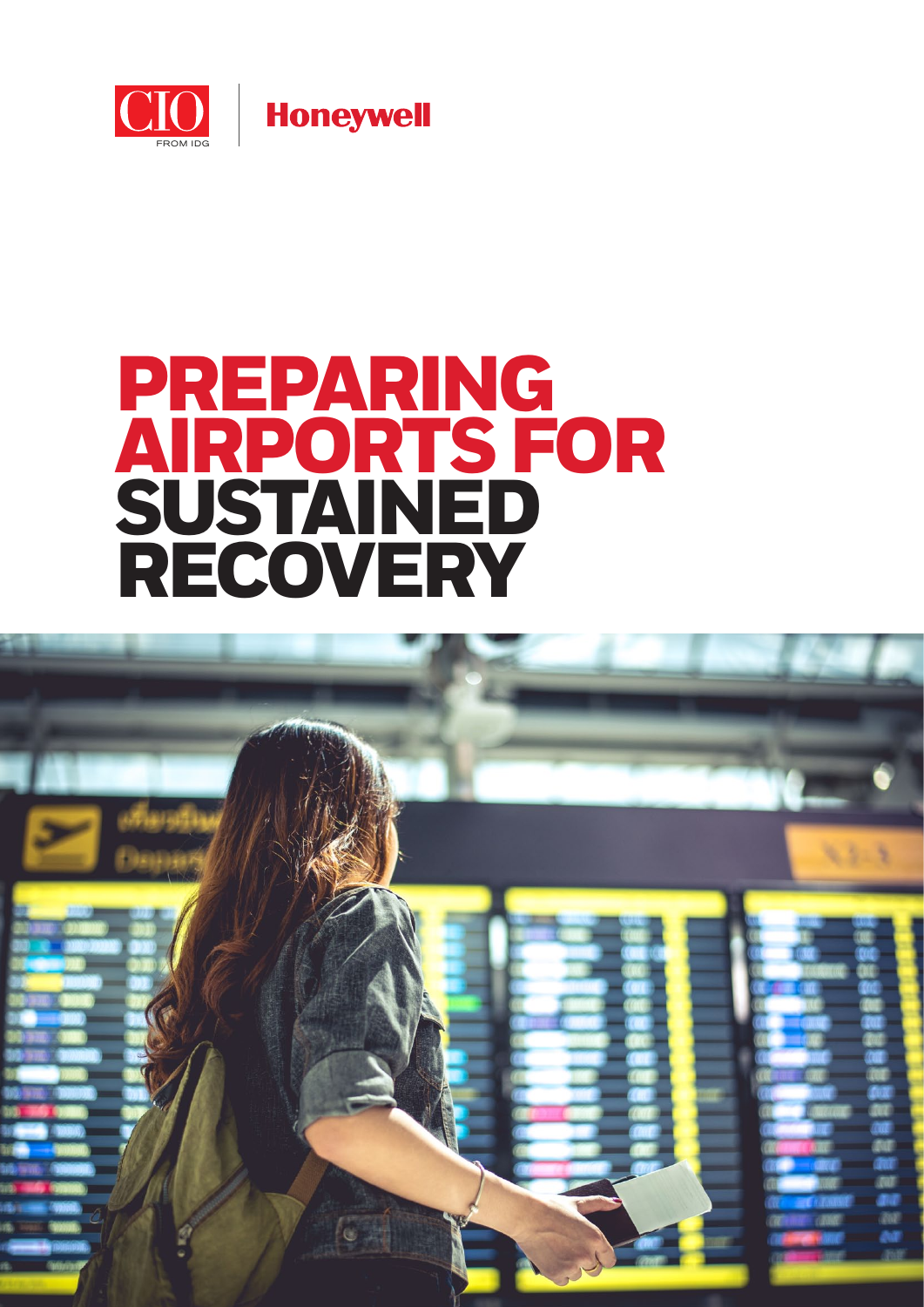

# PREPARING AIRPORTS FOR **SUSTAINED** RECOVERY

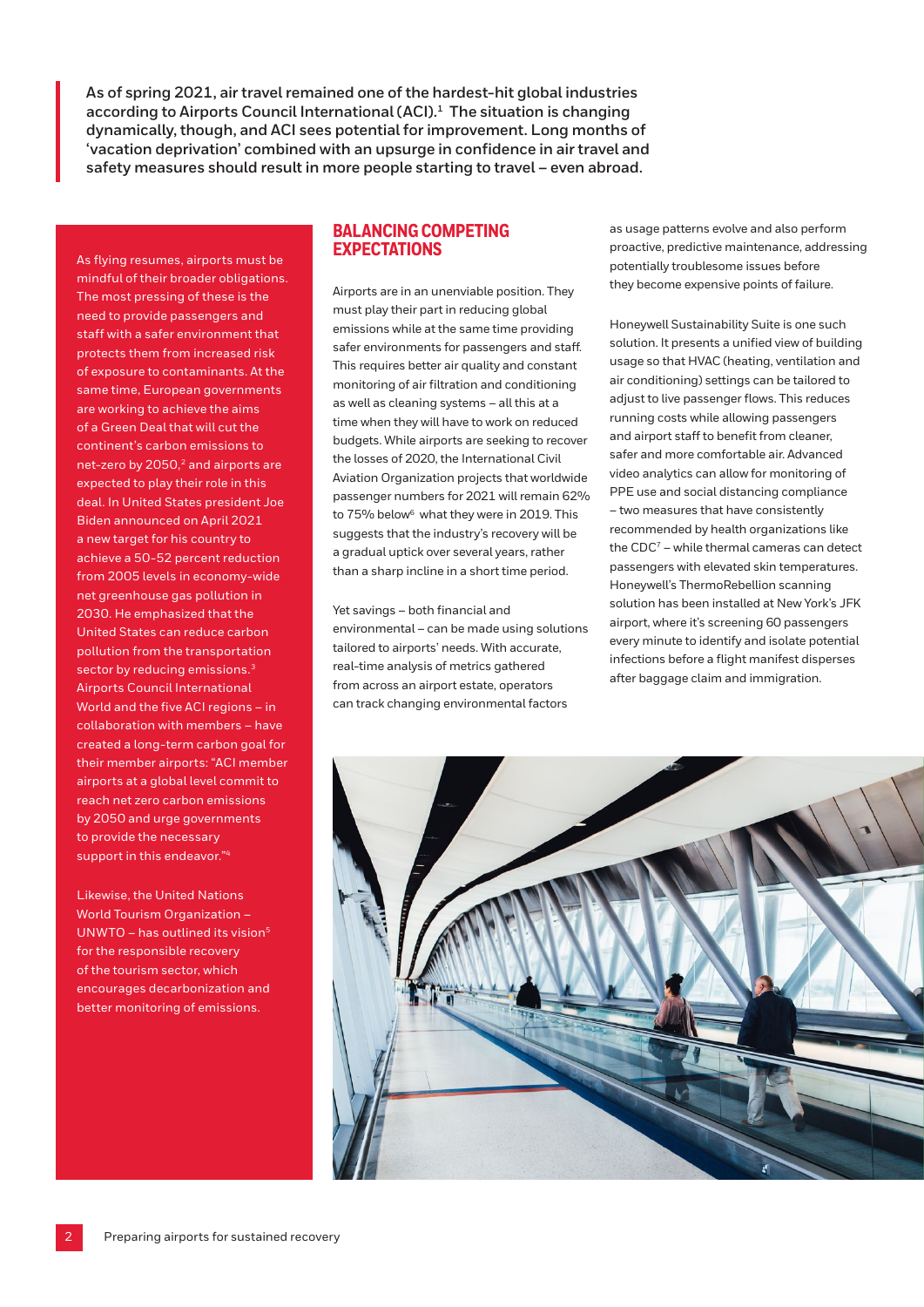**As of spring 2021, air travel remained one of the hardest-hit global industries according to Airports Council International (ACI).1 The situation is changing dynamically, though, and ACI sees potential for improvement. Long months of 'vacation deprivation' combined with an upsurge in confidence in air travel and safety measures should result in more people starting to travel – even abroad.** 

As flying resumes, airports must be mindful of their broader obligations. The most pressing of these is the need to provide passengers and staff with a safer environment that protects them from increased risk of exposure to contaminants. At the same time, European governments are working to achieve the aims of a Green Deal that will cut the continent's carbon emissions to net-zero by 2050,<sup>2</sup> and airports are expected to play their role in this deal. In United States president Joe Biden announced on April 2021 a new target for his country to achieve a 50-52 percent reduction from 2005 levels in economy-wide net greenhouse gas pollution in 2030. He emphasized that the United States can reduce carbon pollution from the transportation sector by reducing emissions.<sup>3</sup> Airports Council International World and the five ACI regions – in collaboration with members – have created a long-term carbon goal for their member airports: "ACI member airports at a global level commit to reach net zero carbon emissions by 2050 and urge governments to provide the necessary support in this endeavor."4

Likewise, the United Nations World Tourism Organization – UNWTO - has outlined its vision<sup>5</sup> for the responsible recovery of the tourism sector, which encourages decarbonization and better monitoring of emissions.

#### **BALANCING COMPETING EXPECTATIONS**

Airports are in an unenviable position. They must play their part in reducing global emissions while at the same time providing safer environments for passengers and staff. This requires better air quality and constant monitoring of air filtration and conditioning as well as cleaning systems – all this at a time when they will have to work on reduced budgets. While airports are seeking to recover the losses of 2020, the International Civil Aviation Organization projects that worldwide passenger numbers for 2021 will remain 62% to 75% below<sup>6</sup> what they were in 2019. This suggests that the industry's recovery will be a gradual uptick over several years, rather than a sharp incline in a short time period.

Yet savings – both financial and environmental – can be made using solutions tailored to airports' needs. With accurate, real-time analysis of metrics gathered from across an airport estate, operators can track changing environmental factors

as usage patterns evolve and also perform proactive, predictive maintenance, addressing potentially troublesome issues before they become expensive points of failure.

Honeywell Sustainability Suite is one such solution. It presents a unified view of building usage so that HVAC (heating, ventilation and air conditioning) settings can be tailored to adjust to live passenger flows. This reduces running costs while allowing passengers and airport staff to benefit from cleaner, safer and more comfortable air. Advanced video analytics can allow for monitoring of PPE use and social distancing compliance – two measures that have consistently recommended by health organizations like the CDC<sup>7</sup> – while thermal cameras can detect passengers with elevated skin temperatures. Honeywell's ThermoRebellion scanning solution has been installed at New York's JFK airport, where it's screening 60 passengers every minute to identify and isolate potential infections before a flight manifest disperses after baggage claim and immigration.

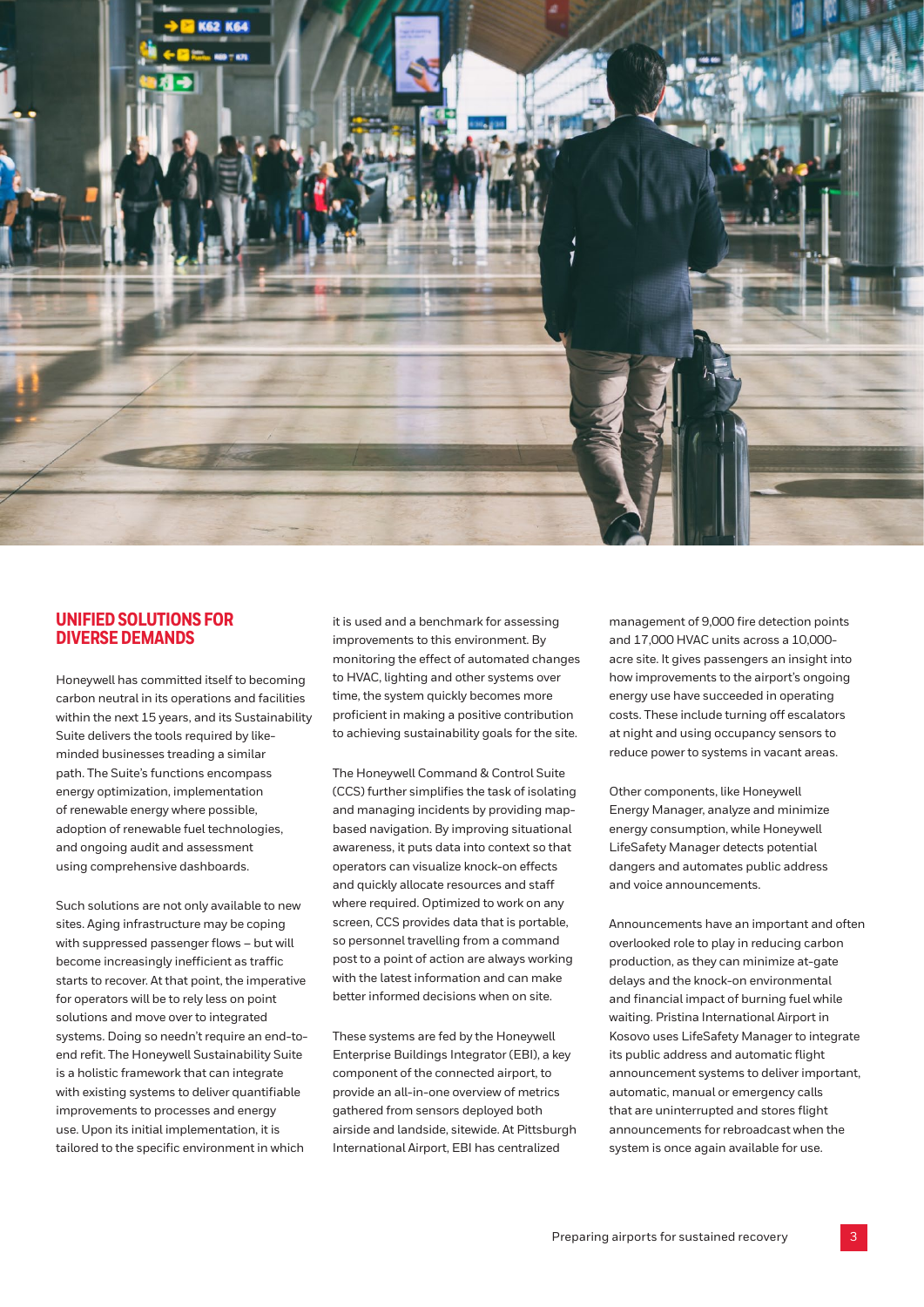

# **UNIFIED SOLUTIONS FOR DIVERSE DEMANDS**

Honeywell has committed itself to becoming carbon neutral in its operations and facilities within the next 15 years, and its Sustainability Suite delivers the tools required by likeminded businesses treading a similar path. The Suite's functions encompass energy optimization, implementation of renewable energy where possible, adoption of renewable fuel technologies, and ongoing audit and assessment using comprehensive dashboards.

Such solutions are not only available to new sites. Aging infrastructure may be coping with suppressed passenger flows – but will become increasingly inefficient as traffic starts to recover. At that point, the imperative for operators will be to rely less on point solutions and move over to integrated systems. Doing so needn't require an end-toend refit. The Honeywell Sustainability Suite is a holistic framework that can integrate with existing systems to deliver quantifiable improvements to processes and energy use. Upon its initial implementation, it is tailored to the specific environment in which it is used and a benchmark for assessing improvements to this environment. By monitoring the effect of automated changes to HVAC, lighting and other systems over time, the system quickly becomes more proficient in making a positive contribution to achieving sustainability goals for the site.

The Honeywell Command & Control Suite (CCS) further simplifies the task of isolating and managing incidents by providing mapbased navigation. By improving situational awareness, it puts data into context so that operators can visualize knock-on effects and quickly allocate resources and staff where required. Optimized to work on any screen, CCS provides data that is portable, so personnel travelling from a command post to a point of action are always working with the latest information and can make better informed decisions when on site.

These systems are fed by the Honeywell Enterprise Buildings Integrator (EBI), a key component of the connected airport, to provide an all-in-one overview of metrics gathered from sensors deployed both airside and landside, sitewide. At Pittsburgh International Airport, EBI has centralized

management of 9,000 fire detection points and 17,000 HVAC units across a 10,000 acre site. It gives passengers an insight into how improvements to the airport's ongoing energy use have succeeded in operating costs. These include turning off escalators at night and using occupancy sensors to reduce power to systems in vacant areas.

Other components, like Honeywell Energy Manager, analyze and minimize energy consumption, while Honeywell LifeSafety Manager detects potential dangers and automates public address and voice announcements.

Announcements have an important and often overlooked role to play in reducing carbon production, as they can minimize at-gate delays and the knock-on environmental and financial impact of burning fuel while waiting. Pristina International Airport in Kosovo uses LifeSafety Manager to integrate its public address and automatic flight announcement systems to deliver important, automatic, manual or emergency calls that are uninterrupted and stores flight announcements for rebroadcast when the system is once again available for use.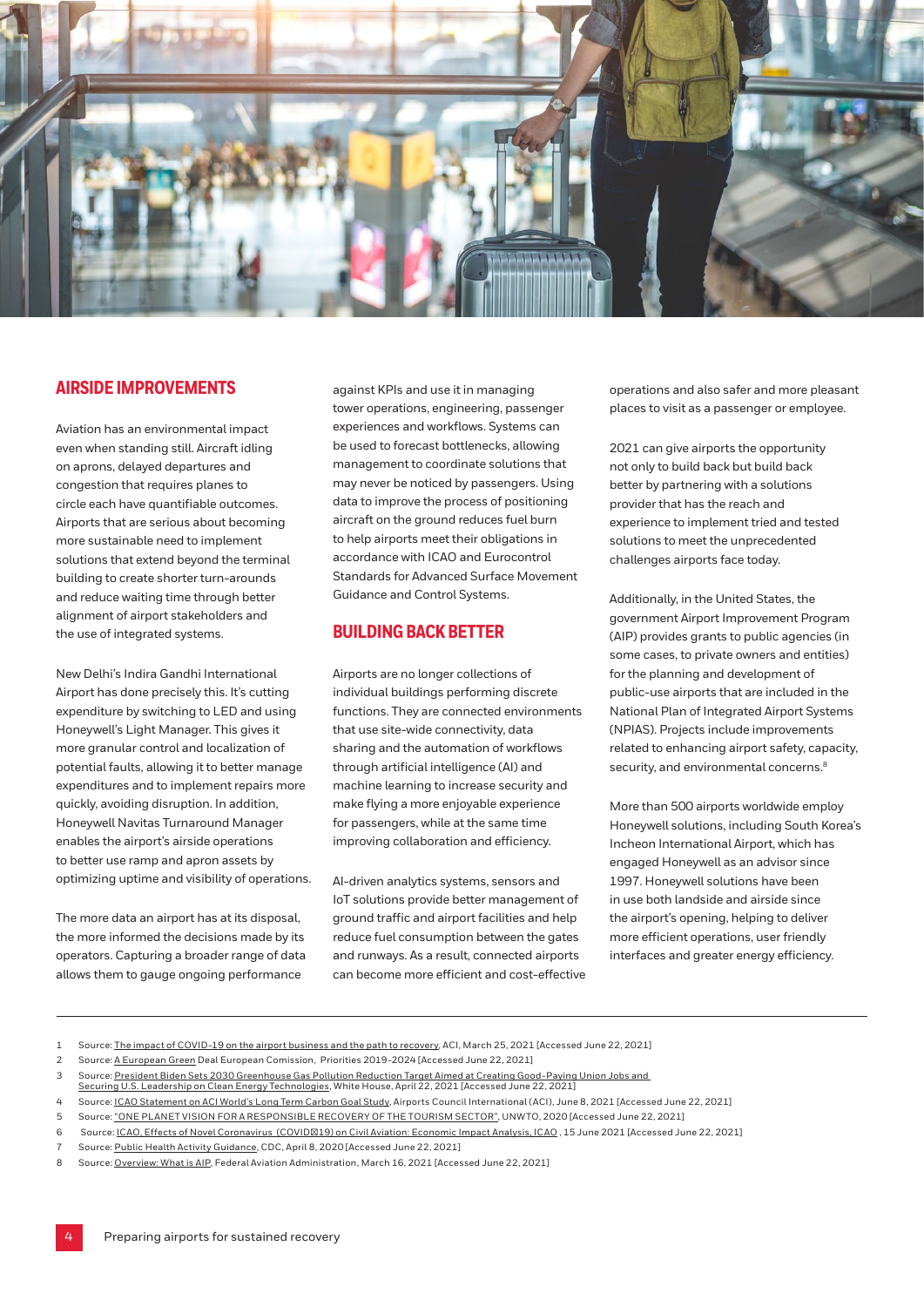

### **AIRSIDE IMPROVEMENTS**

Aviation has an environmental impact even when standing still. Aircraft idling on aprons, delayed departures and congestion that requires planes to circle each have quantifiable outcomes. Airports that are serious about becoming more sustainable need to implement solutions that extend beyond the terminal building to create shorter turn-arounds and reduce waiting time through better alignment of airport stakeholders and the use of integrated systems.

New Delhi's Indira Gandhi International Airport has done precisely this. It's cutting expenditure by switching to LED and using Honeywell's Light Manager. This gives it more granular control and localization of potential faults, allowing it to better manage expenditures and to implement repairs more quickly, avoiding disruption. In addition, Honeywell Navitas Turnaround Manager enables the airport's airside operations to better use ramp and apron assets by optimizing uptime and visibility of operations.

The more data an airport has at its disposal, the more informed the decisions made by its operators. Capturing a broader range of data allows them to gauge ongoing performance

against KPIs and use it in managing tower operations, engineering, passenger experiences and workflows. Systems can be used to forecast bottlenecks, allowing management to coordinate solutions that may never be noticed by passengers. Using data to improve the process of positioning aircraft on the ground reduces fuel burn to help airports meet their obligations in accordance with ICAO and Eurocontrol Standards for Advanced Surface Movement Guidance and Control Systems.

## **BUILDING BACK BETTER**

Airports are no longer collections of individual buildings performing discrete functions. They are connected environments that use site-wide connectivity, data sharing and the automation of workflows through artificial intelligence (AI) and machine learning to increase security and make flying a more enjoyable experience for passengers, while at the same time improving collaboration and efficiency.

AI-driven analytics systems, sensors and IoT solutions provide better management of ground traffic and airport facilities and help reduce fuel consumption between the gates and runways. As a result, connected airports can become more efficient and cost-effective operations and also safer and more pleasant places to visit as a passenger or employee.

2021 can give airports the opportunity not only to build back but build back better by partnering with a solutions provider that has the reach and experience to implement tried and tested solutions to meet the unprecedented challenges airports face today.

Additionally, in the United States, the government Airport Improvement Program (AIP) provides grants to public agencies (in some cases, to private owners and entities) for the planning and development of public-use airports that are included in the National Plan of Integrated Airport Systems (NPIAS). Projects include improvements related to enhancing airport safety, capacity, security, and environmental concerns.<sup>8</sup>

More than 500 airports worldwide employ Honeywell solutions, including South Korea's Incheon International Airport, which has engaged Honeywell as an advisor since 1997. Honeywell solutions have been in use both landside and airside since the airport's opening, helping to deliver more efficient operations, user friendly interfaces and greater energy efficiency.

- 1 Source: [The impact of COVID-19 on the airport business and the path to recovery,](https://aci.aero/news/2021/03/25/the-impact-of-covid-19-on-the-airport-business-and-the-path-to-recovery/) ACI, March 25, 2021 [Accessed June 22, 2021]
- 2 Source: [A European Green](https://ec.europa.eu/info/strategy/priorities-2019-2024/european-green-deal_en) Deal European Comission, Priorities 2019-2024 [Accessed June 22, 2021]
- 
- Source: <u>President Biden Sets 2030 Greenhouse Gas Pollution Reduction Target Aimed at Creating Good-Paying Union Jobs and</u><br>[Securing U.S. Leadership on Clean Energy Technologies](https://www.whitehouse.gov/briefing-room/statements-releases/2021/04/22/fact-sheet-president-biden-sets-2030-greenhouse-gas-pollution-reduction-target-aimed-at-creating-good-paying-union-jobs-and-securing-u-s-leadership-on-clean-energy-technologies/), White House, April 22, 2021 [Accessed June 2
- 4 Source: [ICAO Statement on ACI World's Long Term Carbon Goal Study,](https://aci.aero/news/2021/06/08/icao-statement-on-aci-worlds-long-term-carbon-goal-study/) Airports Council International (ACI), June 8, 2021 [Accessed June 22, 2021]
- 5 Source: ["ONE PLANET VISION FOR A RESPONSIBLE RECOVERY OF THE TOURISM SECTOR",](https://webunwto.s3.eu-west-1.amazonaws.com/s3fs-public/2020-06/one-planet-vision-responsible-recovery-of-the-tourism-sector.pdf) UNWTO, 2020 [Accessed June 22, 2021]
- 6 Source: [ICAO, Effects of Novel Coronavirus \(COVID‐19\) on Civil Aviation: Economic Impact Analysis, ICAO](https://www.icao.int/sustainability/Documents/COVID-19/ICAO_Coronavirus_Econ_Impact.pdf) , 15 June 2021 [Accessed June 22, 2021]
- 7 Source: [Public Health Activity Guidance,](https://www.cdc.gov/coronavirus/2019-ncov/hcp/non-covid-19-client-interaction.html) CDC, April 8, 2020 [Accessed June 22, 2021]
- 8 Source: [Overview: What is AIP,](https://www.faa.gov/airports/aip/overview/) Federal Aviation Administration, March 16, 2021 [Accessed June 22, 2021]